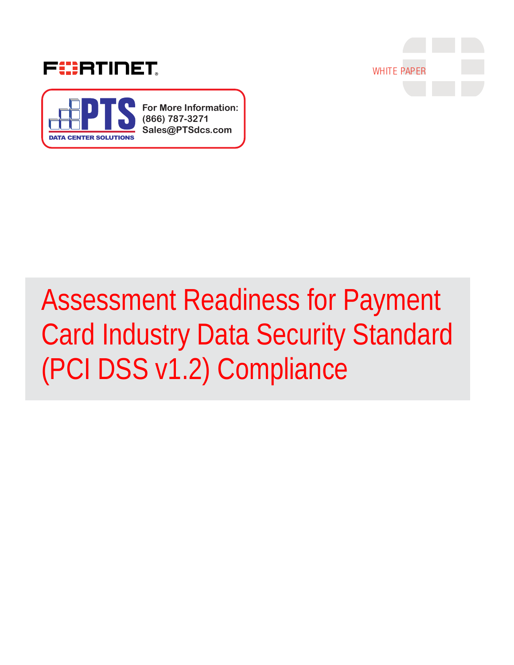



**For More Information: (866) 787-3271 Sales@PTSdcs.com**



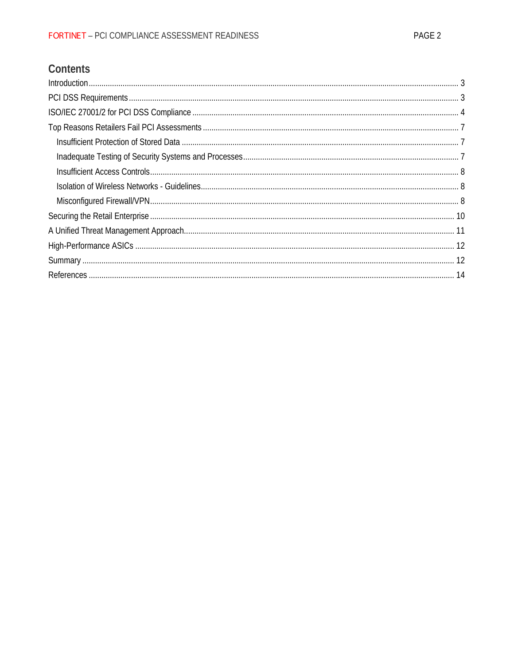# Contents

| Introduction 3 |  |
|----------------|--|
|                |  |
|                |  |
|                |  |
|                |  |
|                |  |
|                |  |
|                |  |
|                |  |
|                |  |
|                |  |
|                |  |
|                |  |
|                |  |
|                |  |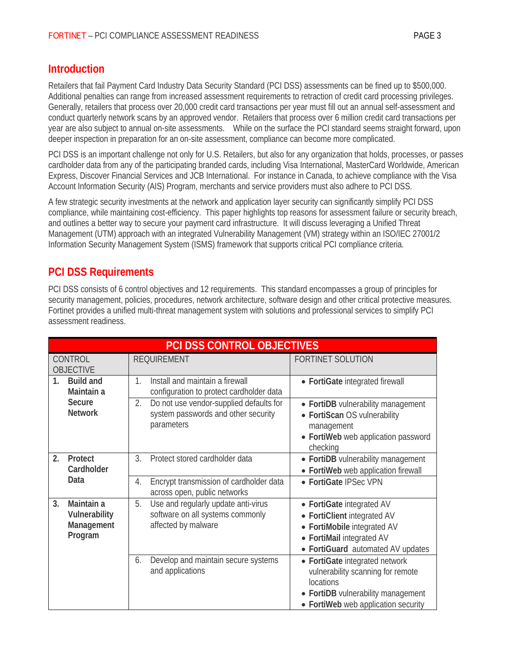### **Introduction**

Retailers that fail Payment Card Industry Data Security Standard (PCI DSS) assessments can be fined up to \$500,000. Additional penalties can range from increased assessment requirements to retraction of credit card processing privileges. Generally, retailers that process over 20,000 credit card transactions per year must fill out an annual self-assessment and conduct quarterly network scans by an approved vendor. Retailers that process over 6 million credit card transactions per year are also subject to annual on-site assessments. While on the surface the PCI standard seems straight forward, upon deeper inspection in preparation for an on-site assessment, compliance can become more complicated.

PCI DSS is an important challenge not only for U.S. Retailers, but also for any organization that holds, processes, or passes cardholder data from any of the participating branded cards, including Visa International, MasterCard Worldwide, American Express, Discover Financial Services and JCB International. For instance in Canada, to achieve compliance with the Visa Account Information Security (AIS) Program, merchants and service providers must also adhere to PCI DSS.

A few strategic security investments at the network and application layer security can significantly simplify PCI DSS compliance, while maintaining cost-efficiency. This paper highlights top reasons for assessment failure or security breach, and outlines a better way to secure your payment card infrastructure. It will discuss leveraging a Unified Threat Management (UTM) approach with an integrated Vulnerability Management (VM) strategy within an ISO/IEC 27001/2 Information Security Management System (ISMS) framework that supports critical PCI compliance criteria.

## **PCI DSS Requirements**

PCI DSS consists of 6 control objectives and 12 requirements. This standard encompasses a group of principles for security management, policies, procedures, network architecture, software design and other critical protective measures. Fortinet provides a unified multi-threat management system with solutions and professional services to simplify PCI assessment readiness.

| <b>PCI DSS CONTROL OBJECTIVES</b>                          |                                                                                                      |                                                                                                                                                               |  |
|------------------------------------------------------------|------------------------------------------------------------------------------------------------------|---------------------------------------------------------------------------------------------------------------------------------------------------------------|--|
| CONTROL<br><b>OBJECTIVE</b>                                | <b>REQUIREMENT</b>                                                                                   | <b>FORTINET SOLUTION</b>                                                                                                                                      |  |
| 1 <sub>1</sub><br><b>Build and</b><br>Maintain a           | Install and maintain a firewall<br>1.<br>configuration to protect cardholder data                    | • FortiGate integrated firewall                                                                                                                               |  |
| Secure<br><b>Network</b>                                   | Do not use vendor-supplied defaults for<br>2.<br>system passwords and other security<br>parameters   | • FortiDB vulnerability management<br>• FortiScan OS vulnerability<br>management<br>• FortiWeb web application password<br>checking                           |  |
| 2.<br>Protect<br>Cardholder                                | 3.<br>Protect stored cardholder data                                                                 | • FortiDB vulnerability management<br>• FortiWeb web application firewall                                                                                     |  |
| Data                                                       | Encrypt transmission of cardholder data<br>4.<br>across open, public networks                        | • FortiGate IPSec VPN                                                                                                                                         |  |
| Maintain a<br>3.<br>Vulnerability<br>Management<br>Program | Use and regularly update anti-virus<br>5.<br>software on all systems commonly<br>affected by malware | • FortiGate integrated AV<br>• FortiClient integrated AV<br>• FortiMobile integrated AV<br>• FortiMail integrated AV<br>• FortiGuard automated AV updates     |  |
|                                                            | Develop and maintain secure systems<br>6.<br>and applications                                        | • FortiGate integrated network<br>vulnerability scanning for remote<br>locations<br>• FortiDB vulnerability management<br>• FortiWeb web application security |  |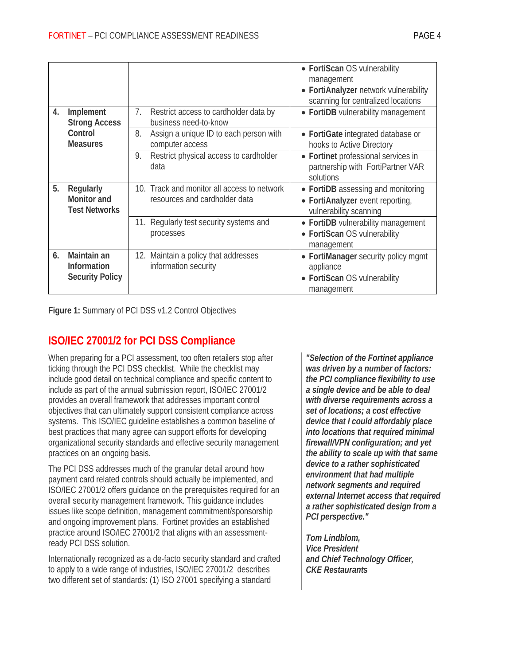|    |                                                      |                                                                              | • FortiScan OS vulnerability<br>management<br>• FortiAnalyzer network vulnerability<br>scanning for centralized locations |
|----|------------------------------------------------------|------------------------------------------------------------------------------|---------------------------------------------------------------------------------------------------------------------------|
| 4. | Implement<br><b>Strong Access</b>                    | 7.<br>Restrict access to cardholder data by<br>business need-to-know         | • FortiDB vulnerability management                                                                                        |
|    | Control<br><b>Measures</b>                           | 8.<br>Assign a unique ID to each person with<br>computer access              | • FortiGate integrated database or<br>hooks to Active Directory                                                           |
|    |                                                      | Restrict physical access to cardholder<br>9.<br>data                         | • Fortinet professional services in<br>partnership with FortiPartner VAR<br>solutions                                     |
| 5. | Regularly<br>Monitor and<br><b>Test Networks</b>     | 10. Track and monitor all access to network<br>resources and cardholder data | • FortiDB assessing and monitoring<br>• FortiAnalyzer event reporting,<br>vulnerability scanning                          |
|    |                                                      | 11. Regularly test security systems and<br>processes                         | • FortiDB vulnerability management<br>• FortiScan OS vulnerability<br>management                                          |
| 6. | Maintain an<br>Information<br><b>Security Policy</b> | Maintain a policy that addresses<br>12.<br>information security              | • FortiManager security policy mgmt<br>appliance<br>• FortiScan OS vulnerability<br>management                            |

**Figure 1:** Summary of PCI DSS v1.2 Control Objectives

## **ISO/IEC 27001/2 for PCI DSS Compliance**

When preparing for a PCI assessment, too often retailers stop after ticking through the PCI DSS checklist. While the checklist may include good detail on technical compliance and specific content to include as part of the annual submission report, ISO/IEC 27001/2 provides an overall framework that addresses important control objectives that can ultimately support consistent compliance across systems. This ISO/IEC guideline establishes a common baseline of best practices that many agree can support efforts for developing organizational security standards and effective security management practices on an ongoing basis.

The PCI DSS addresses much of the granular detail around how payment card related controls should actually be implemented, and ISO/IEC 27001/2 offers guidance on the prerequisites required for an overall security management framework. This guidance includes issues like scope definition, management commitment/sponsorship and ongoing improvement plans. Fortinet provides an established practice around ISO/IEC 27001/2 that aligns with an assessmentready PCI DSS solution.

Internationally recognized as a de-facto security standard and crafted to apply to a wide range of industries, ISO/IEC 27001/2 describes two different set of standards: (1) ISO 27001 specifying a standard

*"Selection of the Fortinet appliance was driven by a number of factors: the PCI compliance flexibility to use a single device and be able to deal with diverse requirements across a set of locations; a cost effective device that I could affordably place into locations that required minimal firewall/VPN configuration; and yet the ability to scale up with that same device to a rather sophisticated environment that had multiple network segments and required external Internet access that required a rather sophisticated design from a PCI perspective."*

*Tom Lindblom, Vice President and Chief Technology Officer, CKE Restaurants*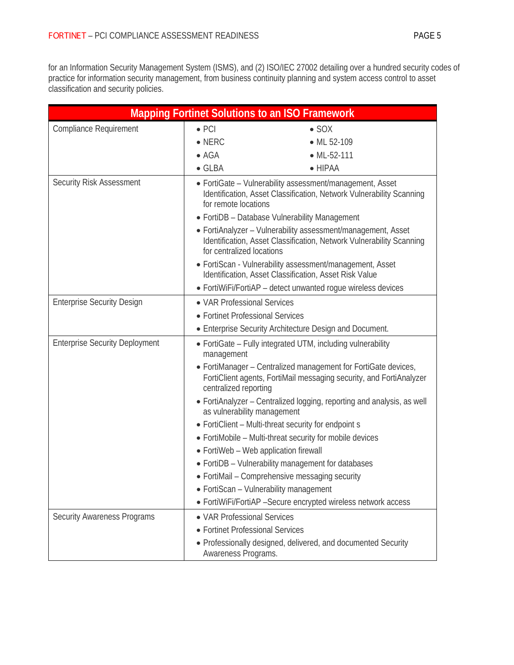for an Information Security Management System (ISMS), and (2) ISO/IEC 27002 detailing over a hundred security codes of practice for information security management, from business continuity planning and system access control to asset classification and security policies.

| <b>Mapping Fortinet Solutions to an ISO Framework</b> |                                                                                                                                                                                                                                                                         |                                                               |  |  |
|-------------------------------------------------------|-------------------------------------------------------------------------------------------------------------------------------------------------------------------------------------------------------------------------------------------------------------------------|---------------------------------------------------------------|--|--|
| <b>Compliance Requirement</b>                         | $\bullet$ PCI                                                                                                                                                                                                                                                           | $\bullet$ SOX                                                 |  |  |
|                                                       | $\bullet$ NERC                                                                                                                                                                                                                                                          | • ML 52-109                                                   |  |  |
|                                                       | $\bullet$ AGA                                                                                                                                                                                                                                                           | $\bullet$ ML-52-111                                           |  |  |
|                                                       | $\bullet$ GLBA                                                                                                                                                                                                                                                          | $\bullet$ HIPAA                                               |  |  |
| <b>Security Risk Assessment</b>                       | • FortiGate - Vulnerability assessment/management, Asset<br>Identification, Asset Classification, Network Vulnerability Scanning<br>for remote locations<br>• FortiDB - Database Vulnerability Management                                                               |                                                               |  |  |
|                                                       | • FortiAnalyzer - Vulnerability assessment/management, Asset<br>Identification, Asset Classification, Network Vulnerability Scanning<br>for centralized locations                                                                                                       |                                                               |  |  |
|                                                       | • FortiScan - Vulnerability assessment/management, Asset<br>Identification, Asset Classification, Asset Risk Value                                                                                                                                                      |                                                               |  |  |
|                                                       | • FortiWiFi/FortiAP - detect unwanted rogue wireless devices                                                                                                                                                                                                            |                                                               |  |  |
| <b>Enterprise Security Design</b>                     | • VAR Professional Services<br>• Fortinet Professional Services                                                                                                                                                                                                         |                                                               |  |  |
|                                                       |                                                                                                                                                                                                                                                                         |                                                               |  |  |
|                                                       | • Enterprise Security Architecture Design and Document.                                                                                                                                                                                                                 |                                                               |  |  |
| <b>Enterprise Security Deployment</b><br>management   |                                                                                                                                                                                                                                                                         | • FortiGate - Fully integrated UTM, including vulnerability   |  |  |
|                                                       | • FortiManager - Centralized management for FortiGate devices,<br>FortiClient agents, FortiMail messaging security, and FortiAnalyzer<br>centralized reporting<br>• FortiAnalyzer – Centralized logging, reporting and analysis, as well<br>as vulnerability management |                                                               |  |  |
|                                                       |                                                                                                                                                                                                                                                                         |                                                               |  |  |
|                                                       | • FortiClient - Multi-threat security for endpoint s                                                                                                                                                                                                                    |                                                               |  |  |
|                                                       | • FortiMobile - Multi-threat security for mobile devices                                                                                                                                                                                                                |                                                               |  |  |
|                                                       | • FortiWeb - Web application firewall                                                                                                                                                                                                                                   |                                                               |  |  |
|                                                       |                                                                                                                                                                                                                                                                         | • FortiDB - Vulnerability management for databases            |  |  |
|                                                       |                                                                                                                                                                                                                                                                         | • FortiMail - Comprehensive messaging security                |  |  |
|                                                       | • FortiScan - Vulnerability management                                                                                                                                                                                                                                  |                                                               |  |  |
|                                                       |                                                                                                                                                                                                                                                                         | • FortiWiFi/FortiAP -Secure encrypted wireless network access |  |  |
| <b>Security Awareness Programs</b>                    | • VAR Professional Services                                                                                                                                                                                                                                             |                                                               |  |  |
|                                                       | • Fortinet Professional Services                                                                                                                                                                                                                                        |                                                               |  |  |
|                                                       | Awareness Programs.                                                                                                                                                                                                                                                     | • Professionally designed, delivered, and documented Security |  |  |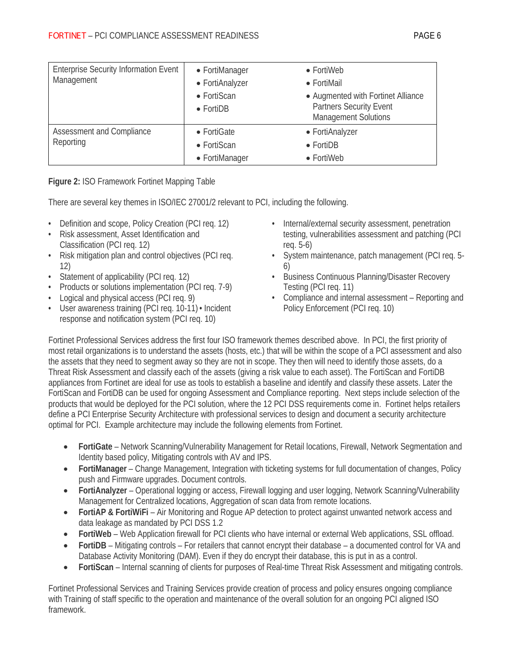| <b>Enterprise Security Information Event</b><br>Management | • FortiManager<br>• FortiAnalyzer<br>• FortiScan<br>$\bullet$ FortiDB | • FortiWeb<br>$\bullet$ FortiMail<br>• Augmented with Fortinet Alliance<br><b>Partners Security Event</b><br><b>Management Solutions</b> |
|------------------------------------------------------------|-----------------------------------------------------------------------|------------------------------------------------------------------------------------------------------------------------------------------|
| Assessment and Compliance<br>Reporting                     | • FortiGate<br>$\bullet$ FortiScan<br>• FortiManager                  | • FortiAnalyzer<br>$\bullet$ FortiDB<br>• FortiWeb                                                                                       |

#### **Figure 2:** ISO Framework Fortinet Mapping Table

There are several key themes in ISO/IEC 27001/2 relevant to PCI, including the following.

- Definition and scope, Policy Creation (PCI req. 12)
- Risk assessment, Asset Identification and Classification (PCI req. 12)
- Risk mitigation plan and control objectives (PCI req. 12)
- Statement of applicability (PCI req. 12)
- Products or solutions implementation (PCI req. 7-9)
- Logical and physical access (PCI req. 9)
- User awareness training (PCI req. 10-11) Incident response and notification system (PCI req. 10)
- Internal/external security assessment, penetration testing, vulnerabilities assessment and patching (PCI req. 5-6)
- System maintenance, patch management (PCI req. 5- 6)
- Business Continuous Planning/Disaster Recovery Testing (PCI req. 11)
- Compliance and internal assessment Reporting and Policy Enforcement (PCI req. 10)

Fortinet Professional Services address the first four ISO framework themes described above. In PCI, the first priority of most retail organizations is to understand the assets (hosts, etc.) that will be within the scope of a PCI assessment and also the assets that they need to segment away so they are not in scope. They then will need to identify those assets, do a Threat Risk Assessment and classify each of the assets (giving a risk value to each asset). The FortiScan and FortiDB appliances from Fortinet are ideal for use as tools to establish a baseline and identify and classify these assets. Later the FortiScan and FortiDB can be used for ongoing Assessment and Compliance reporting. Next steps include selection of the products that would be deployed for the PCI solution, where the 12 PCI DSS requirements come in. Fortinet helps retailers define a PCI Enterprise Security Architecture with professional services to design and document a security architecture optimal for PCI. Example architecture may include the following elements from Fortinet.

- **FortiGate** Network Scanning/Vulnerability Management for Retail locations, Firewall, Network Segmentation and Identity based policy, Mitigating controls with AV and IPS.
- **FortiManager** Change Management, Integration with ticketing systems for full documentation of changes, Policy push and Firmware upgrades. Document controls.
- **FortiAnalyzer** Operational logging or access, Firewall logging and user logging, Network Scanning/Vulnerability Management for Centralized locations, Aggregation of scan data from remote locations.
- **FortiAP & FortiWiFi** Air Monitoring and Rogue AP detection to protect against unwanted network access and data leakage as mandated by PCI DSS 1.2
- **FortiWeb** Web Application firewall for PCI clients who have internal or external Web applications, SSL offload.
- **FortiDB** Mitigating controls For retailers that cannot encrypt their database a documented control for VA and Database Activity Monitoring (DAM). Even if they do encrypt their database, this is put in as a control.
- **FortiScan** Internal scanning of clients for purposes of Real-time Threat Risk Assessment and mitigating controls.

Fortinet Professional Services and Training Services provide creation of process and policy ensures ongoing compliance with Training of staff specific to the operation and maintenance of the overall solution for an ongoing PCI aligned ISO framework.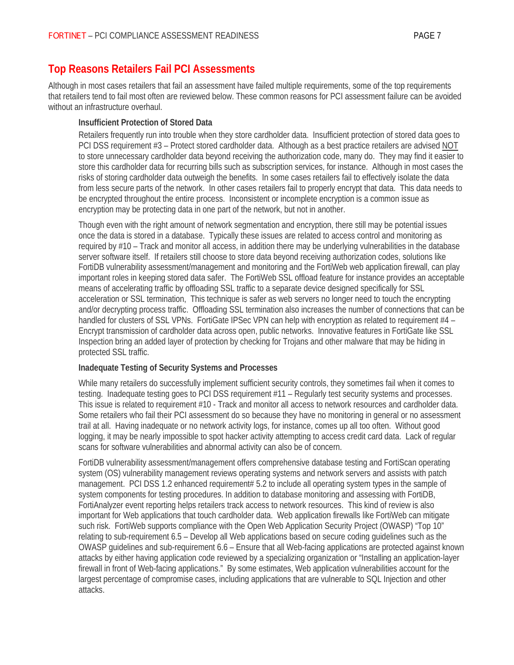## **Top Reasons Retailers Fail PCI Assessments**

Although in most cases retailers that fail an assessment have failed multiple requirements, some of the top requirements that retailers tend to fail most often are reviewed below. These common reasons for PCI assessment failure can be avoided without an infrastructure overhaul.

#### **Insufficient Protection of Stored Data**

Retailers frequently run into trouble when they store cardholder data. Insufficient protection of stored data goes to PCI DSS requirement #3 – Protect stored cardholder data. Although as a best practice retailers are advised NOT to store unnecessary cardholder data beyond receiving the authorization code, many do. They may find it easier to store this cardholder data for recurring bills such as subscription services, for instance. Although in most cases the risks of storing cardholder data outweigh the benefits. In some cases retailers fail to effectively isolate the data from less secure parts of the network. In other cases retailers fail to properly encrypt that data. This data needs to be encrypted throughout the entire process. Inconsistent or incomplete encryption is a common issue as encryption may be protecting data in one part of the network, but not in another.

Though even with the right amount of network segmentation and encryption, there still may be potential issues once the data is stored in a database. Typically these issues are related to access control and monitoring as required by #10 – Track and monitor all access, in addition there may be underlying vulnerabilities in the database server software itself. If retailers still choose to store data beyond receiving authorization codes, solutions like FortiDB vulnerability assessment/management and monitoring and the FortiWeb web application firewall, can play important roles in keeping stored data safer. The FortiWeb SSL offload feature for instance provides an acceptable means of accelerating traffic by offloading SSL traffic to a separate device designed specifically for SSL acceleration or SSL termination, This technique is safer as web servers no longer need to touch the encrypting and/or decrypting process traffic. Offloading SSL termination also increases the number of connections that can be handled for clusters of SSL VPNs. FortiGate IPSec VPN can help with encryption as related to requirement #4 – Encrypt transmission of cardholder data across open, public networks. Innovative features in FortiGate like SSL Inspection bring an added layer of protection by checking for Trojans and other malware that may be hiding in protected SSL traffic.

#### **Inadequate Testing of Security Systems and Processes**

While many retailers do successfully implement sufficient security controls, they sometimes fail when it comes to testing. Inadequate testing goes to PCI DSS requirement #11 – Regularly test security systems and processes. This issue is related to requirement #10 - Track and monitor all access to network resources and cardholder data. Some retailers who fail their PCI assessment do so because they have no monitoring in general or no assessment trail at all. Having inadequate or no network activity logs, for instance, comes up all too often. Without good logging, it may be nearly impossible to spot hacker activity attempting to access credit card data. Lack of regular scans for software vulnerabilities and abnormal activity can also be of concern.

FortiDB vulnerability assessment/management offers comprehensive database testing and FortiScan operating system (OS) vulnerability management reviews operating systems and network servers and assists with patch management. PCI DSS 1.2 enhanced requirement# 5.2 to include all operating system types in the sample of system components for testing procedures. In addition to database monitoring and assessing with FortiDB, FortiAnalyzer event reporting helps retailers track access to network resources. This kind of review is also important for Web applications that touch cardholder data. Web application firewalls like FortiWeb can mitigate such risk. FortiWeb supports compliance with the Open Web Application Security Project (OWASP) "Top 10" relating to sub-requirement 6.5 – Develop all Web applications based on secure coding guidelines such as the OWASP guidelines and sub-requirement 6.6 – Ensure that all Web-facing applications are protected against known attacks by either having application code reviewed by a specializing organization or "Installing an application-layer firewall in front of Web-facing applications." By some estimates, Web application vulnerabilities account for the largest percentage of compromise cases, including applications that are vulnerable to SQL Injection and other attacks.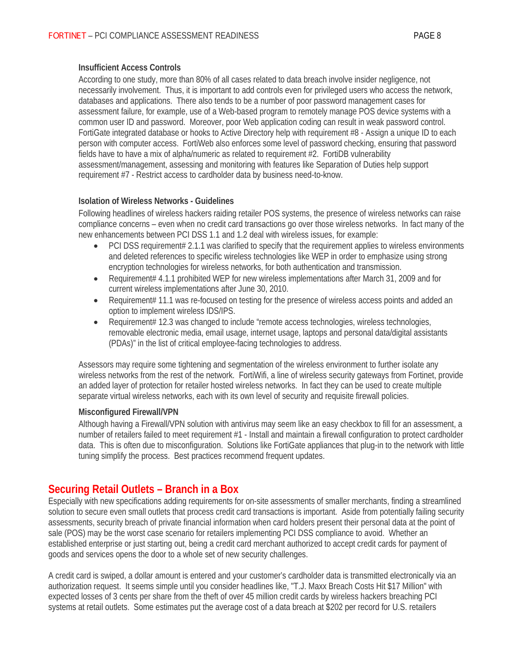#### **Insufficient Access Controls**

According to one study, more than 80% of all cases related to data breach involve insider negligence, not necessarily involvement. Thus, it is important to add controls even for privileged users who access the network, databases and applications. There also tends to be a number of poor password management cases for assessment failure, for example, use of a Web-based program to remotely manage POS device systems with a common user ID and password. Moreover, poor Web application coding can result in weak password control. FortiGate integrated database or hooks to Active Directory help with requirement #8 - Assign a unique ID to each person with computer access. FortiWeb also enforces some level of password checking, ensuring that password fields have to have a mix of alpha/numeric as related to requirement #2. FortiDB vulnerability assessment/management, assessing and monitoring with features like Separation of Duties help support requirement #7 - Restrict access to cardholder data by business need-to-know.

#### **Isolation of Wireless Networks - Guidelines**

Following headlines of wireless hackers raiding retailer POS systems, the presence of wireless networks can raise compliance concerns – even when no credit card transactions go over those wireless networks. In fact many of the new enhancements between PCI DSS 1.1 and 1.2 deal with wireless issues, for example:

- PCI DSS requirement# 2.1.1 was clarified to specify that the requirement applies to wireless environments and deleted references to specific wireless technologies like WEP in order to emphasize using strong encryption technologies for wireless networks, for both authentication and transmission.
- Requirement# 4.1.1 prohibited WEP for new wireless implementations after March 31, 2009 and for current wireless implementations after June 30, 2010.
- Requirement# 11.1 was re-focused on testing for the presence of wireless access points and added an option to implement wireless IDS/IPS.
- Requirement# 12.3 was changed to include "remote access technologies, wireless technologies, removable electronic media, email usage, internet usage, laptops and personal data/digital assistants (PDAs)" in the list of critical employee-facing technologies to address.

Assessors may require some tightening and segmentation of the wireless environment to further isolate any wireless networks from the rest of the network. FortiWifi, a line of wireless security gateways from Fortinet, provide an added layer of protection for retailer hosted wireless networks. In fact they can be used to create multiple separate virtual wireless networks, each with its own level of security and requisite firewall policies.

#### **Misconfigured Firewall/VPN**

Although having a Firewall/VPN solution with antivirus may seem like an easy checkbox to fill for an assessment, a number of retailers failed to meet requirement #1 - Install and maintain a firewall configuration to protect cardholder data. This is often due to misconfiguration. Solutions like FortiGate appliances that plug-in to the network with little tuning simplify the process. Best practices recommend frequent updates.

### **Securing Retail Outlets – Branch in a Box**

Especially with new specifications adding requirements for on-site assessments of smaller merchants, finding a streamlined solution to secure even small outlets that process credit card transactions is important. Aside from potentially failing security assessments, security breach of private financial information when card holders present their personal data at the point of sale (POS) may be the worst case scenario for retailers implementing PCI DSS compliance to avoid. Whether an established enterprise or just starting out, being a credit card merchant authorized to accept credit cards for payment of goods and services opens the door to a whole set of new security challenges.

A credit card is swiped, a dollar amount is entered and your customer's cardholder data is transmitted electronically via an authorization request. It seems simple until you consider headlines like, "T.J. Maxx Breach Costs Hit \$17 Million" with expected losses of 3 cents per share from the theft of over 45 million credit cards by wireless hackers breaching PCI systems at retail outlets. Some estimates put the average cost of a data breach at \$202 per record for U.S. retailers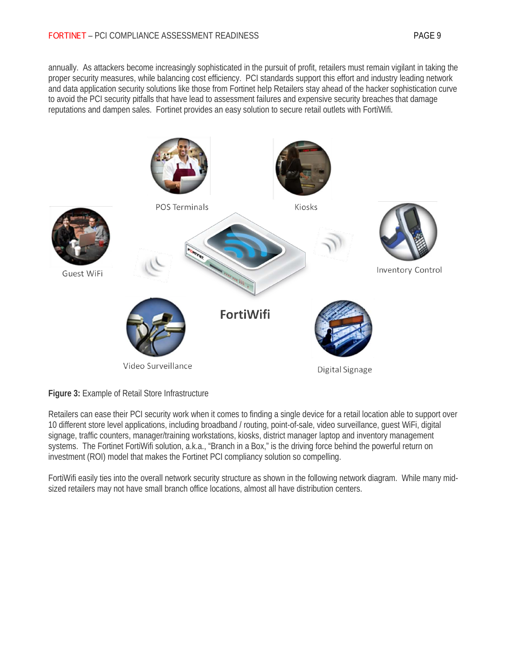annually. As attackers become increasingly sophisticated in the pursuit of profit, retailers must remain vigilant in taking the proper security measures, while balancing cost efficiency. PCI standards support this effort and industry leading network and data application security solutions like those from Fortinet help Retailers stay ahead of the hacker sophistication curve to avoid the PCI security pitfalls that have lead to assessment failures and expensive security breaches that damage reputations and dampen sales. Fortinet provides an easy solution to secure retail outlets with FortiWifi.



**Figure 3:** Example of Retail Store Infrastructure

Retailers can ease their PCI security work when it comes to finding a single device for a retail location able to support over 10 different store level applications, including broadband / routing, point-of-sale, video surveillance, guest WiFi, digital signage, traffic counters, manager/training workstations, kiosks, district manager laptop and inventory management systems. The Fortinet FortiWifi solution, a.k.a., "Branch in a Box," is the driving force behind the powerful return on investment (ROI) model that makes the Fortinet PCI compliancy solution so compelling.

FortiWifi easily ties into the overall network security structure as shown in the following network diagram. While many midsized retailers may not have small branch office locations, almost all have distribution centers.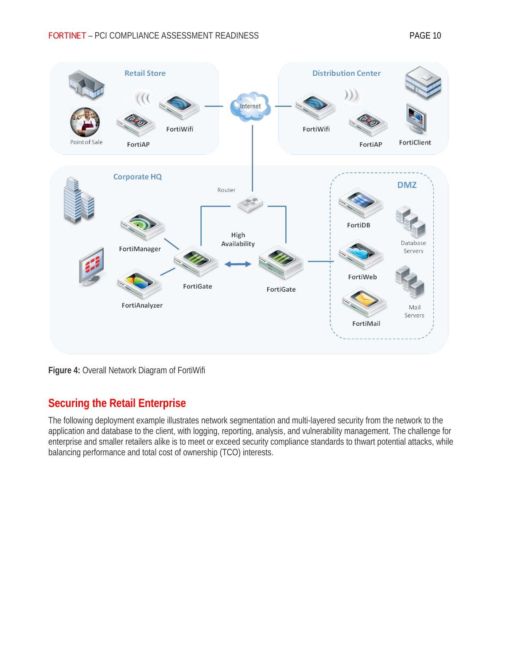

**Figure 4:** Overall Network Diagram of FortiWifi

# **Securing the Retail Enterprise**

The following deployment example illustrates network segmentation and multi-layered security from the network to the application and database to the client, with logging, reporting, analysis, and vulnerability management. The challenge for enterprise and smaller retailers alike is to meet or exceed security compliance standards to thwart potential attacks, while balancing performance and total cost of ownership (TCO) interests.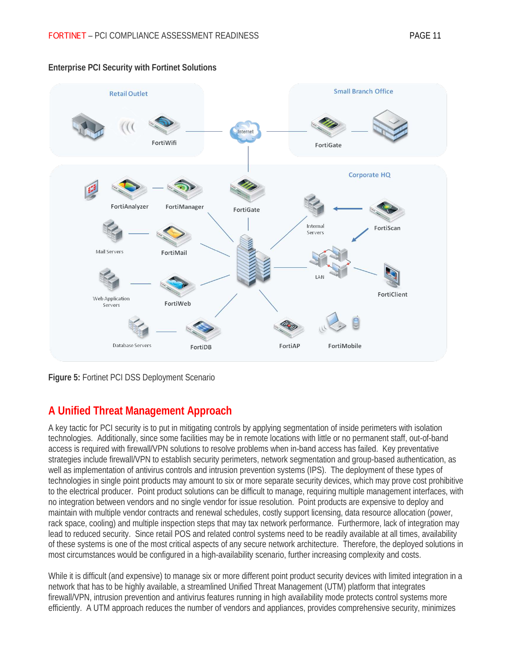

#### **Enterprise PCI Security with Fortinet Solutions**

**Figure 5:** Fortinet PCI DSS Deployment Scenario

## **A Unified Threat Management Approach**

A key tactic for PCI security is to put in mitigating controls by applying segmentation of inside perimeters with isolation technologies. Additionally, since some facilities may be in remote locations with little or no permanent staff, out-of-band access is required with firewall/VPN solutions to resolve problems when in-band access has failed. Key preventative strategies include firewall/VPN to establish security perimeters, network segmentation and group-based authentication, as well as implementation of antivirus controls and intrusion prevention systems (IPS). The deployment of these types of technologies in single point products may amount to six or more separate security devices, which may prove cost prohibitive to the electrical producer. Point product solutions can be difficult to manage, requiring multiple management interfaces, with no integration between vendors and no single vendor for issue resolution. Point products are expensive to deploy and maintain with multiple vendor contracts and renewal schedules, costly support licensing, data resource allocation (power, rack space, cooling) and multiple inspection steps that may tax network performance. Furthermore, lack of integration may lead to reduced security. Since retail POS and related control systems need to be readily available at all times, availability of these systems is one of the most critical aspects of any secure network architecture. Therefore, the deployed solutions in most circumstances would be configured in a high-availability scenario, further increasing complexity and costs.

While it is difficult (and expensive) to manage six or more different point product security devices with limited integration in a network that has to be highly available, a streamlined Unified Threat Management (UTM) platform that integrates firewall/VPN, intrusion prevention and antivirus features running in high availability mode protects control systems more efficiently. A UTM approach reduces the number of vendors and appliances, provides comprehensive security, minimizes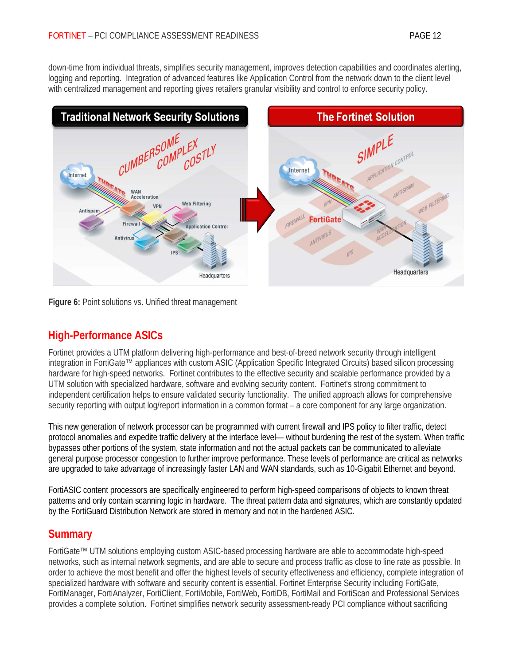down-time from individual threats, simplifies security management, improves detection capabilities and coordinates alerting, logging and reporting. Integration of advanced features like Application Control from the network down to the client level with centralized management and reporting gives retailers granular visibility and control to enforce security policy.



**Figure 6:** Point solutions vs. Unified threat management

## **High-Performance ASICs**

Fortinet provides a UTM platform delivering high-performance and best-of-breed network security through intelligent integration in FortiGate™ appliances with custom ASIC (Application Specific Integrated Circuits) based silicon processing hardware for high-speed networks. Fortinet contributes to the effective security and scalable performance provided by a UTM solution with specialized hardware, software and evolving security content. Fortinet's strong commitment to independent certification helps to ensure validated security functionality. The unified approach allows for comprehensive security reporting with output log/report information in a common format – a core component for any large organization.

This new generation of network processor can be programmed with current firewall and IPS policy to filter traffic, detect protocol anomalies and expedite traffic delivery at the interface level— without burdening the rest of the system. When traffic bypasses other portions of the system, state information and not the actual packets can be communicated to alleviate general purpose processor congestion to further improve performance. These levels of performance are critical as networks are upgraded to take advantage of increasingly faster LAN and WAN standards, such as 10-Gigabit Ethernet and beyond.

FortiASIC content processors are specifically engineered to perform high-speed comparisons of objects to known threat patterns and only contain scanning logic in hardware. The threat pattern data and signatures, which are constantly updated by the FortiGuard Distribution Network are stored in memory and not in the hardened ASIC.

### **Summary**

FortiGate™ UTM solutions employing custom ASIC-based processing hardware are able to accommodate high-speed networks, such as internal network segments, and are able to secure and process traffic as close to line rate as possible. In order to achieve the most benefit and offer the highest levels of security effectiveness and efficiency, complete integration of specialized hardware with software and security content is essential. Fortinet Enterprise Security including FortiGate, FortiManager, FortiAnalyzer, FortiClient, FortiMobile, FortiWeb, FortiDB, FortiMail and FortiScan and Professional Services provides a complete solution. Fortinet simplifies network security assessment-ready PCI compliance without sacrificing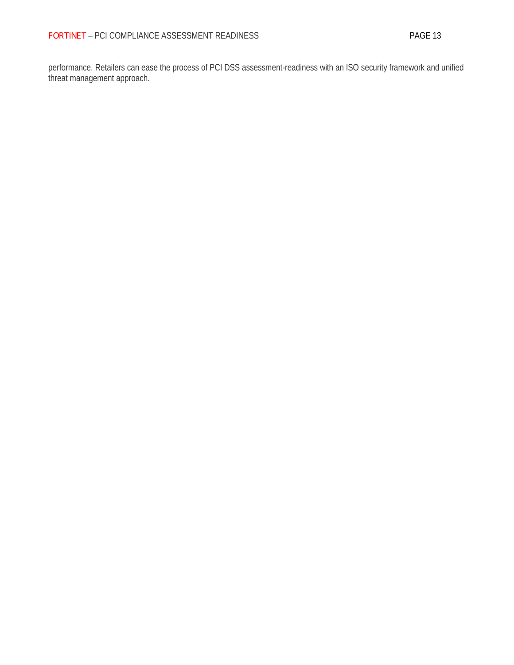performance. Retailers can ease the process of PCI DSS assessment-readiness with an ISO security framework and unified threat management approach.